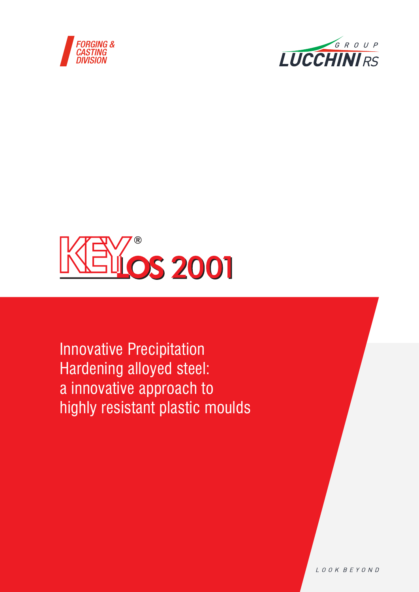





Innovative Precipitation Hardening alloyed steel: a innovative approach to highly resistant plastic moulds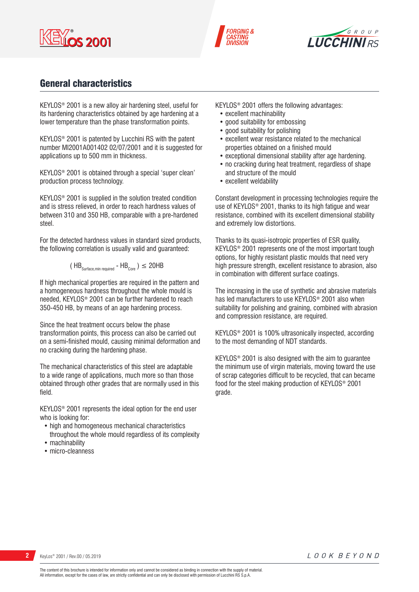





## General characteristics

KEYLOS® 2001 is a new alloy air hardening steel, useful for its hardening characteristics obtained by age hardening at a lower temperature than the phase transformation points.

KEYLOS® 2001 is patented by Lucchini RS with the patent number MI2001A001402 02/07/2001 and it is suggested for applications up to 500 mm in thickness.

KEYLOS® 2001 is obtained through a special 'super clean' production process technology.

KEYLOS® 2001 is supplied in the solution treated condition and is stress relieved, in order to reach hardness values of between 310 and 350 HB, comparable with a pre-hardened steel.

For the detected hardness values in standard sized products, the following correlation is usually valid and guaranteed:

$$
(\text{HB}_{\text{Surface,min required}} - \text{HB}_{\text{Core}})
$$
  $\leq$  20HB

If high mechanical properties are required in the pattern and a homogeneous hardness throughout the whole mould is needed, KEYLOS® 2001 can be further hardened to reach 350-450 HB, by means of an age hardening process.

Since the heat treatment occurs below the phase transformation points, this process can also be carried out on a semi-finished mould, causing minimal deformation and no cracking during the hardening phase.

The mechanical characteristics of this steel are adaptable to a wide range of applications, much more so than those obtained through other grades that are normally used in this field.

KEYLOS® 2001 represents the ideal option for the end user who is looking for:

- high and homogeneous mechanical characteristics throughout the whole mould regardless of its complexity
- machinability
- micro-cleanness

KEYLOS® 2001 offers the following advantages:

- excellent machinability
- good suitability for embossing
- good suitability for polishing
- excellent wear resistance related to the mechanical properties obtained on a finished mould
- exceptional dimensional stability after age hardening.
- no cracking during heat treatment, regardless of shape and structure of the mould
- excellent weldability

Constant development in processing technologies require the use of KEYLOS® 2001, thanks to its high fatigue and wear resistance, combined with its excellent dimensional stability and extremely low distortions.

Thanks to its quasi-isotropic properties of ESR quality, KEYLOS® 2001 represents one of the most important tough options, for highly resistant plastic moulds that need very high pressure strength, excellent resistance to abrasion, also in combination with different surface coatings.

The increasing in the use of synthetic and abrasive materials has led manufacturers to use KEYLOS® 2001 also when suitability for polishing and graining, combined with abrasion and compression resistance, are required.

KEYLOS® 2001 is 100% ultrasonically inspected, according to the most demanding of NDT standards.

KEYLOS® 2001 is also designed with the aim to guarantee the minimum use of virgin materials, moving toward the use of scrap categories difficult to be recycled, that can became food for the steel making production of KEYLOS® 2001 grade.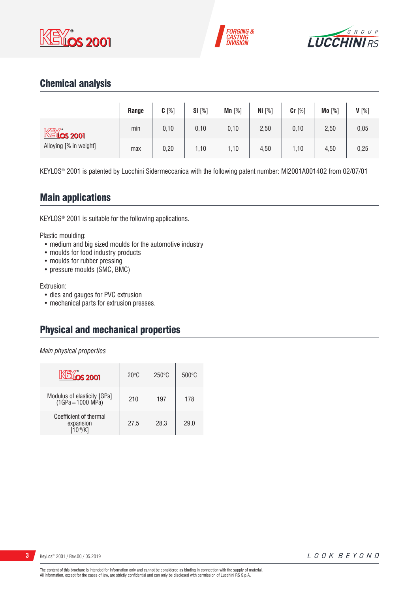





# Chemical analysis

|                                                      | Range | $C[\%]$ | Si $[%]$ | Mn $[%]$ | Ni $[%]$ | Cr [%] | Mo [%] | $V[\%]$ |
|------------------------------------------------------|-------|---------|----------|----------|----------|--------|--------|---------|
| $\mathbb{K}$ $\mathbb{K}$ $\infty$ $\infty$ $\infty$ | min   | 0, 10   | 0,10     | 0, 10    | 2,50     | 0,10   | 2,50   | 0,05    |
| Alloying [% in weight]                               | max   | 0,20    | 1,10     | 1,10     | 4,50     | 1,10   | 4,50   | 0,25    |

KEYLOS® 2001 is patented by Lucchini Sidermeccanica with the following patent number: MI2001A001402 from 02/07/01

## Main applications

KEYLOS® 2001 is suitable for the following applications.

Plastic moulding:

- medium and big sized moulds for the automotive industry
- moulds for food industry products
- moulds for rubber pressing
- pressure moulds (SMC, BMC)

Extrusion:

- dies and gauges for PVC extrusion
- mechanical parts for extrusion presses.

# Physical and mechanical properties

*Main physical properties*

| <b>KEYOS 2001</b>                                    | $20^{\circ}$ C | $250^\circ C$ | $500^{\circ}$ C |
|------------------------------------------------------|----------------|---------------|-----------------|
| Modulus of elasticity [GPa]<br>(1GPa=1000 MPa)       | 210            | 197           | 178             |
| Coefficient of thermal<br>expansion<br>$10^{-6}$ /K1 | 27.5           | 28.3          | 29.0            |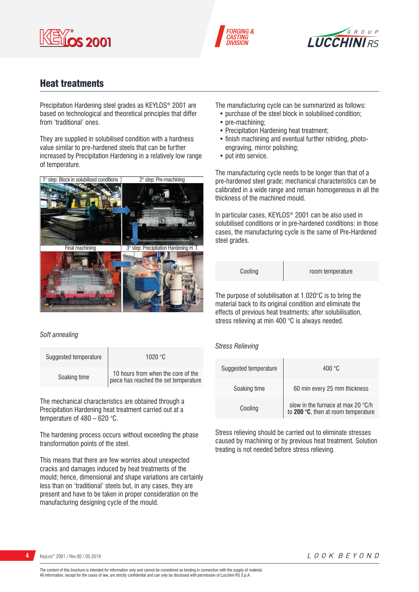





# Heat treatments

Precipitation Hardening steel grades as KEYLOS® 2001 are based on technological and theoretical principles that differ from 'traditional' ones.

They are supplied in solubilised condition with a hardness value similar to pre-hardened steels that can be further increased by Precipitation Hardening in a relatively low range of temperature.



#### *Soft annealing*

| Suggested temperature | 1020 $^{\circ}$ C                                                           |
|-----------------------|-----------------------------------------------------------------------------|
| Soaking time          | 10 hours from when the core of the<br>piece has reached the set temperature |

The mechanical characteristics are obtained through a Precipitation Hardening heat treatment carried out at a temperature of 480 – 620 °C.

The hardening process occurs without exceeding the phase transformation points of the steel.

This means that there are few worries about unexpected cracks and damages induced by heat treatments of the mould; hence, dimensional and shape variations are certainly less than on 'traditional' steels but, in any cases, they are present and have to be taken in proper consideration on the manufacturing designing cycle of the mould.

The manufacturing cycle can be summarized as follows:

- purchase of the steel block in solubilised condition;
- pre-machining:
- Precipitation Hardening heat treatment;
- finish machining and eventual further nitriding, photoengraving, mirror polishing;
- put into service.

The manufacturing cycle needs to be longer than that of a pre-hardened steel grade; mechanical characteristics can be calibrated in a wide range and remain homogeneous in all the thickness of the machined mould.

In particular cases, KEYLOS® 2001 can be also used in solubilised conditions or in pre-hardened conditions: in those cases, the manufacturing cycle is the same of Pre-Hardened steel grades.

| Cooling |  |
|---------|--|
|         |  |

room temperature

The purpose of solubilisation at 1.020°C is to bring the material back to its original condition and eliminate the effects of previous heat treatments; after solubilisation, stress relieving at min 400 °C is always needed.

### *Stress Relieving*

| Suggested temperature | 400 °C                                                                             |
|-----------------------|------------------------------------------------------------------------------------|
| Soaking time          | 60 min every 25 mm thickness                                                       |
| Cooling               | slow in the furnace at max 20 $\degree$ C/h<br>to 200 °C, then at room temperature |

Stress relieving should be carried out to eliminate stresses caused by machining or by previous heat treatment. Solution treating is not needed before stress relieving.

The content of this brochure is intended for information only and cannot be considered as binding in connection with the supply of material. All information, except for the cases of law, are strictly confidential and can only be disclosed with permission of Lucchini RS S.p.A.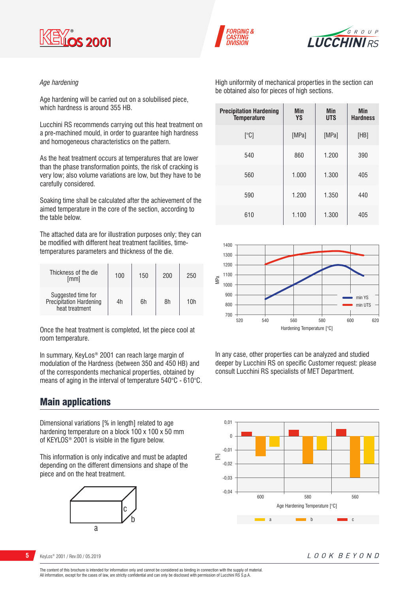





### *Age hardening*

Age hardening will be carried out on a solubilised piece, which hardness is around 355 HB.

Lucchini RS recommends carrying out this heat treatment on a pre-machined mould, in order to guarantee high hardness and homogeneous characteristics on the pattern.

As the heat treatment occurs at temperatures that are lower than the phase transformation points, the risk of cracking is very low; also volume variations are low, but they have to be carefully considered.

Soaking time shall be calculated after the achievement of the aimed temperature in the core of the section, according to the table below.

The attached data are for illustration purposes only; they can be modified with different heat treatment facilities, timetemperatures parameters and thickness of the die.

| Thickness of the die<br>[mm]                                    | 100 | 150 | 200 | 250 |
|-----------------------------------------------------------------|-----|-----|-----|-----|
| Suggested time for<br>Precipitation Hardening<br>heat treatment | 4h  | 6h  | 8h  | 10h |

Once the heat treatment is completed, let the piece cool at room temperature.

In summary, KeyLos® 2001 can reach large margin of modulation of the Hardness (between 350 and 450 HB) and of the correspondents mechanical properties, obtained by means of aging in the interval of temperature 540°C - 610°C.

## Main applications

Dimensional variations [% in length] related to age hardening temperature on a block 100 x 100 x 50 mm of KEYLOS® 2001 is visible in the figure below.

This information is only indicative and must be adapted depending on the different dimensions and shape of the piece and on the heat treatment.



High uniformity of mechanical properties in the section can be obtained also for pieces of high sections.

| <b>Precipitation Hardening</b><br><b>Temperature</b> | Min<br><b>YS</b> | Min<br><b>UTS</b> | Min<br><b>Hardness</b> |
|------------------------------------------------------|------------------|-------------------|------------------------|
| [°C]                                                 | [MPa]            | [MPa]             | [HB]                   |
| 540                                                  | 860              | 1.200             | 390                    |
| 560                                                  | 1.000            | 1.300             | 405                    |
| 590                                                  | 1.200            | 1.350             | 440                    |
| 610                                                  | 1.100            | 1.300             | 405                    |



In any case, other properties can be analyzed and studied deeper by Lucchini RS on specific Customer request: please consult Lucchini RS specialists of MET Department.



**5** KeyLos® 2001 / Rev.00 / 05.2019

LOOK BEYOND

The content of this brochure is intended for information only and cannot be considered as binding in connection with the supply of material. All information, except for the cases of law, are strictly confidential and can only be disclosed with permission of Lucchini RS S.p.A.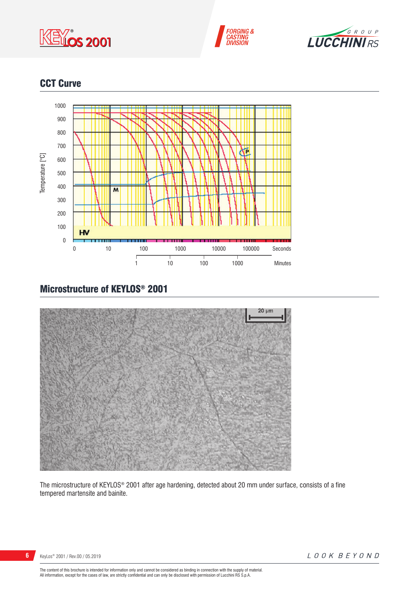





# CCT Curve



# Microstructure of KEYLOS® 2001



The microstructure of KEYLOS® 2001 after age hardening, detected about 20 mm under surface, consists of a fine tempered martensite and bainite.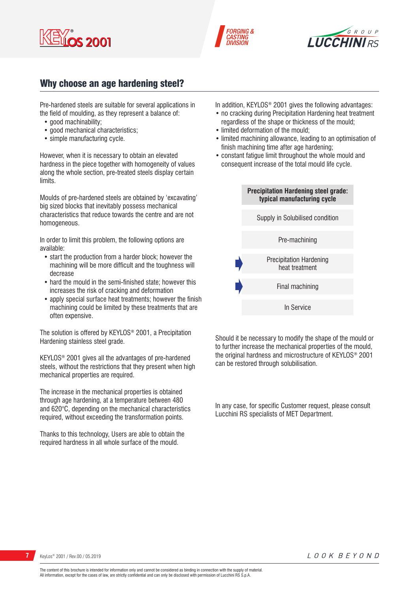





## Why choose an age hardening steel?

Pre-hardened steels are suitable for several applications in the field of moulding, as they represent a balance of:

- good machinability:
- good mechanical characteristics:
- simple manufacturing cycle.

However, when it is necessary to obtain an elevated hardness in the piece together with homogeneity of values along the whole section, pre-treated steels display certain limits.

Moulds of pre-hardened steels are obtained by 'excavating' big sized blocks that inevitably possess mechanical characteristics that reduce towards the centre and are not homogeneous.

In order to limit this problem, the following options are available:

- start the production from a harder block; however the machining will be more difficult and the toughness will decrease
- hard the mould in the semi-finished state; however this increases the risk of cracking and deformation
- apply special surface heat treatments; however the finish machining could be limited by these treatments that are often expensive.

The solution is offered by KEYLOS® 2001, a Precipitation Hardening stainless steel grade.

KEYLOS® 2001 gives all the advantages of pre-hardened steels, without the restrictions that they present when high mechanical properties are required.

The increase in the mechanical properties is obtained through age hardening, at a temperature between 480 and 620°C, depending on the mechanical characteristics required, without exceeding the transformation points.

Thanks to this technology, Users are able to obtain the required hardness in all whole surface of the mould.

In addition, KEYLOS® 2001 gives the following advantages:

- no cracking during Precipitation Hardening heat treatment regardless of the shape or thickness of the mould;
- limited deformation of the mould;
- limited machining allowance, leading to an optimisation of finish machining time after age hardening;
- constant fatigue limit throughout the whole mould and consequent increase of the total mould life cycle.



Should it be necessary to modify the shape of the mould or to further increase the mechanical properties of the mould, the original hardness and microstructure of KEYLOS® 2001 can be restored through solubilisation.

In any case, for specific Customer request, please consult Lucchini RS specialists of MET Department.

**7** KeyLos® 2001 / Rev.00 / 05.2019

The content of this brochure is intended for information only and cannot be considered as binding in connection with the supply of material. All information, except for the cases of law, are strictly confidential and can only be disclosed with permission of Lucchini RS S.p.A.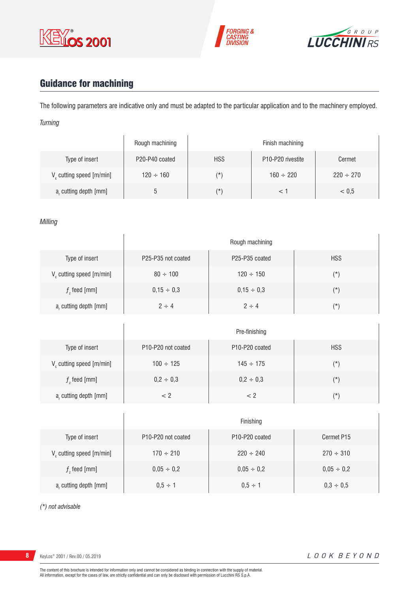





# Guidance for machining

The following parameters are indicative only and must be adapted to the particular application and to the machinery employed. *Turning*

|                         | Rough machining |            | Finish machining                           |                |
|-------------------------|-----------------|------------|--------------------------------------------|----------------|
| Type of insert          | P20-P40 coated  | <b>HSS</b> | P <sub>10</sub> -P <sub>20</sub> rivestite | Cermet         |
| V cutting speed [m/min] | $120 \div 160$  | (*`        | $160 \div 220$                             | $220 \div 270$ |
| a, cutting depth [mm]   |                 | $(\star)$  |                                            | < 0.5          |

### *Milling*

|                             | Rough machining    |                                         |            |  |
|-----------------------------|--------------------|-----------------------------------------|------------|--|
| Type of insert              | P25-P35 not coated | P <sub>25</sub> -P <sub>35</sub> coated | <b>HSS</b> |  |
| $V_c$ cutting speed [m/min] | $80 \div 100$      | $120 \div 150$                          | $(\star)$  |  |
| $fz$ feed [mm]              | $0,15 \div 0,3$    | $0,15 \div 0,3$                         | $(\star)$  |  |
| $ar$ cutting depth [mm]     | $2 \div 4$         | $2 \div 4$                              | $(\star)$  |  |

|                         | Pre-finishing                                      |                                         |            |  |  |
|-------------------------|----------------------------------------------------|-----------------------------------------|------------|--|--|
| Type of insert          | P <sub>10</sub> -P <sub>20</sub> not coated        | P <sub>10</sub> -P <sub>20</sub> coated | <b>HSS</b> |  |  |
| V cutting speed [m/min] | $100 \div 125$                                     | $145 \div 175$                          | (*)        |  |  |
| $f$ , feed [mm]         | $0,2 \div 0,3$                                     | $0,2 \div 0,3$                          | $(\star)$  |  |  |
| a, cutting depth [mm]   | </td <td>&lt; 2</td> <td><math>(\star)</math></td> | < 2                                     | $(\star)$  |  |  |

|                                      | Finishing                                   |                                         |                 |  |
|--------------------------------------|---------------------------------------------|-----------------------------------------|-----------------|--|
| Type of insert                       | P <sub>10</sub> -P <sub>20</sub> not coated | P <sub>10</sub> -P <sub>20</sub> coated | Cermet P15      |  |
| V <sub>c</sub> cutting speed [m/min] | $170 \div 210$                              | $220 \div 240$                          | $270 \div 310$  |  |
| $f$ , feed [mm]                      | $0,05 \div 0,2$                             | $0,05 \div 0,2$                         | $0,05 \div 0,2$ |  |
| a, cutting depth [mm]                | $0.5 \div 1$                                | $0.5 \div 1$                            | $0,3 \div 0,5$  |  |

*(\*) not advisable*

**8** KeyLos® 2001 / Rev.00 / 05.2019

 $\overline{1}$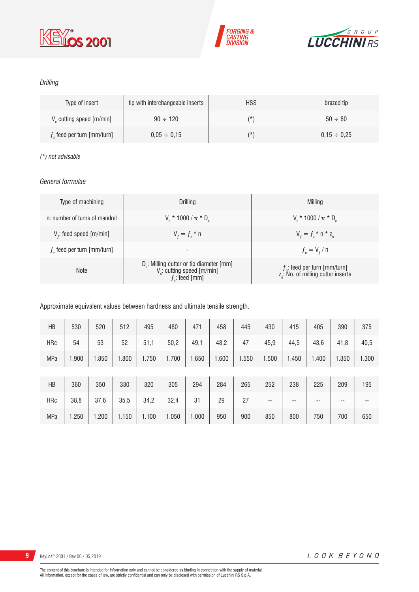





## *Drilling*

| Type of insert                       | tip with interchangeable inserts | <b>HSS</b> | brazed tip       |
|--------------------------------------|----------------------------------|------------|------------------|
| V <sub>c</sub> cutting speed [m/min] | $90 \div 120$                    | $(\star)$  | $50 \div 80$     |
| $fz$ feed per turn [mm/turn]         | $0.05 \div 0.15$                 | $(\star)$  | $0.15 \div 0.25$ |

### *(\*) not advisable*

### *General formulae*

| Type of machining             | Drilling                                                                                                          | Milling                                                                             |
|-------------------------------|-------------------------------------------------------------------------------------------------------------------|-------------------------------------------------------------------------------------|
| n: number of turns of mandrel | $V_r * 1000 / \pi * D_r$                                                                                          | $V_r * 1000 / \pi * D_r$                                                            |
| $V_f$ : feed speed [m/min]    | $V_{f} = f_{7}$ * n                                                                                               | $V_{f} = f_{i} * n * z_{n}$                                                         |
| $fz$ feed per turn [mm/turn]  | $\overline{\phantom{a}}$                                                                                          | $f_{n} = V_{f} / n$                                                                 |
| <b>Note</b>                   | D <sub>r</sub> : Milling cutter or tip diameter [mm]<br>V <sub>c</sub> : cutting speed [m/min]<br>$f$ ; feed [mm] | $f_{n}$ : feed per turn [mm/turn]<br>z <sub>n</sub> : No. of milling cutter inserts |

## Approximate equivalent values between hardness and ultimate tensile strength.

| HB         | 530   | 520   | 512   | 495   | 480   | 471   | 458   | 445   | 430   | 415   | 405   | 390   | 375   |
|------------|-------|-------|-------|-------|-------|-------|-------|-------|-------|-------|-------|-------|-------|
| <b>HRc</b> | 54    | 53    | 52    | 51,1  | 50,2  | 49,1  | 48,2  | 47    | 45,9  | 44,5  | 43,6  | 41,8  | 40,5  |
| <b>MPa</b> | 1.900 | 1.850 | 1.800 | 1.750 | 1.700 | 1.650 | 1.600 | 1.550 | 1.500 | 1.450 | 1.400 | 1.350 | 1.300 |
|            |       |       |       |       |       |       |       |       |       |       |       |       |       |
| HB         | 360   | 350   | 330   | 320   | 305   | 294   | 284   | 265   | 252   | 238   | 225   | 209   | 195   |
| <b>HRc</b> | 38,8  | 37,6  | 35,5  | 34,2  | 32,4  | 31    | 29    | 27    | --    | --    | --    | --    | --    |
| <b>MPa</b> | 1.250 | 1.200 | 1.150 | 1.100 | 1.050 | 1.000 | 950   | 900   | 850   | 800   | 750   | 700   | 650   |